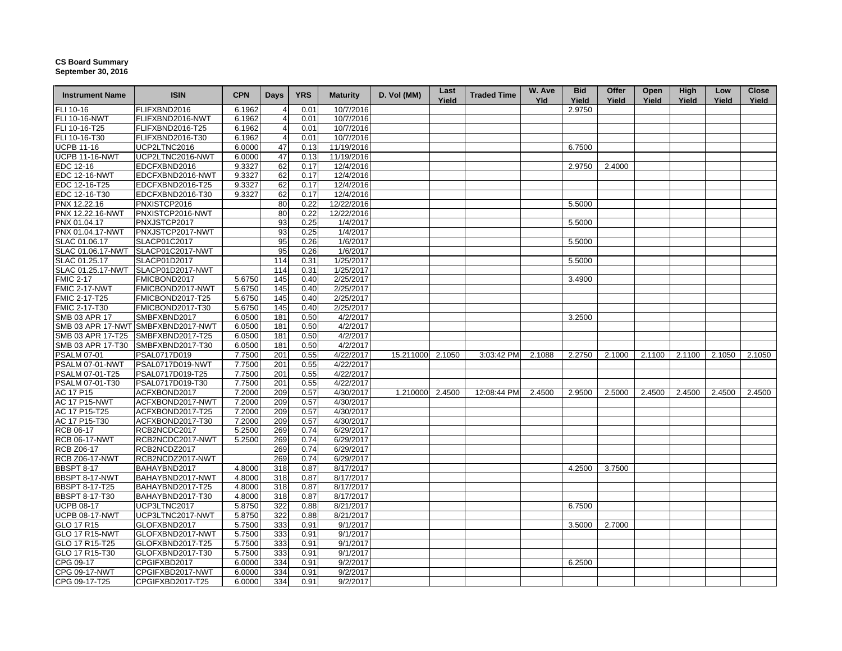## **CS Board Summary September 30, 2016**

| <b>Instrument Name</b> | <b>ISIN</b>                        | <b>CPN</b> | <b>Days</b> | <b>YRS</b> | <b>Maturity</b> | D. Vol (MM)      | Last<br>Yield | <b>Traded Time</b> | W. Ave<br><b>Yld</b> | <b>Bid</b><br>Yield | Offer<br>Yield | Open<br>Yield | High<br>Yield | Low<br>Yield | <b>Close</b><br>Yield |
|------------------------|------------------------------------|------------|-------------|------------|-----------------|------------------|---------------|--------------------|----------------------|---------------------|----------------|---------------|---------------|--------------|-----------------------|
| FLI 10-16              | FLIFXBND2016                       | 6.1962     |             | 0.01       | 10/7/2016       |                  |               |                    |                      | 2.9750              |                |               |               |              |                       |
| <b>FLI 10-16-NWT</b>   | FLIFXBND2016-NWT                   | 6.1962     |             | 0.01       | 10/7/2016       |                  |               |                    |                      |                     |                |               |               |              |                       |
| FLI 10-16-T25          | FLIFXBND2016-T25                   | 6.1962     | 4           | 0.01       | 10/7/2016       |                  |               |                    |                      |                     |                |               |               |              |                       |
| FLI 10-16-T30          | FLIFXBND2016-T30                   | 6.1962     | 4           | 0.01       | 10/7/2016       |                  |               |                    |                      |                     |                |               |               |              |                       |
| <b>UCPB 11-16</b>      | UCP2LTNC2016                       | 6.0000     | 47          | 0.13       | 11/19/2016      |                  |               |                    |                      | 6.7500              |                |               |               |              |                       |
| <b>UCPB 11-16-NWT</b>  | UCP2LTNC2016-NWT                   | 6.0000     | 47          | 0.13       | 11/19/2016      |                  |               |                    |                      |                     |                |               |               |              |                       |
| EDC 12-16              | EDCFXBND2016                       | 9.3327     | 62          | 0.17       | 12/4/2016       |                  |               |                    |                      | 2.9750              | 2.4000         |               |               |              |                       |
| <b>EDC 12-16-NWT</b>   | EDCFXBND2016-NWT                   | 9.3327     | 62          | 0.17       | 12/4/2016       |                  |               |                    |                      |                     |                |               |               |              |                       |
| EDC 12-16-T25          | EDCFXBND2016-T25                   | 9.3327     | 62          | 0.17       | 12/4/2016       |                  |               |                    |                      |                     |                |               |               |              |                       |
| EDC 12-16-T30          | EDCFXBND2016-T30                   | 9.3327     | 62          | 0.17       | 12/4/2016       |                  |               |                    |                      |                     |                |               |               |              |                       |
| PNX 12.22.16           | PNXISTCP2016                       |            | 80          | 0.22       | 12/22/2016      |                  |               |                    |                      | 5.5000              |                |               |               |              |                       |
| PNX 12.22.16-NWT       | PNXISTCP2016-NWT                   |            | 80          | 0.22       | 12/22/2016      |                  |               |                    |                      |                     |                |               |               |              |                       |
| PNX 01.04.17           | PNXJSTCP2017                       |            | 93          | 0.25       | 1/4/2017        |                  |               |                    |                      | 5.5000              |                |               |               |              |                       |
| PNX 01.04.17-NWT       | PNXJSTCP2017-NWT                   |            | 93          | 0.25       | 1/4/2017        |                  |               |                    |                      |                     |                |               |               |              |                       |
| SLAC 01.06.17          | SLACP01C2017                       |            | 95          | 0.26       | 1/6/2017        |                  |               |                    |                      | 5.5000              |                |               |               |              |                       |
| SLAC 01.06.17-NWT      | SLACP01C2017-NWT                   |            | 95          | 0.26       | 1/6/2017        |                  |               |                    |                      |                     |                |               |               |              |                       |
| SLAC 01.25.17          | SLACP01D2017                       |            | 114         | 0.31       | 1/25/2017       |                  |               |                    |                      | 5.5000              |                |               |               |              |                       |
| SLAC 01.25.17-NWT      | SLACP01D2017-NWT                   |            | 114         | 0.31       | 1/25/2017       |                  |               |                    |                      |                     |                |               |               |              |                       |
| <b>FMIC 2-17</b>       | FMICBOND2017                       | 5.6750     | 145         | 0.40       | 2/25/2017       |                  |               |                    |                      | 3.4900              |                |               |               |              |                       |
| <b>FMIC 2-17-NWT</b>   | FMICBOND2017-NWT                   | 5.6750     | 145         | 0.40       | 2/25/2017       |                  |               |                    |                      |                     |                |               |               |              |                       |
| FMIC 2-17-T25          | FMICBOND2017-T25                   | 5.6750     | 145         | 0.40       | 2/25/2017       |                  |               |                    |                      |                     |                |               |               |              |                       |
| FMIC 2-17-T30          | FMICBOND2017-T30                   | 5.6750     | 145         | 0.40       | 2/25/2017       |                  |               |                    |                      |                     |                |               |               |              |                       |
| SMB 03 APR 17          | SMBFXBND2017                       | 6.0500     | 181         | 0.50       | 4/2/2017        |                  |               |                    |                      | 3.2500              |                |               |               |              |                       |
|                        | SMB 03 APR 17-NWT SMBFXBND2017-NWT | 6.0500     | 181         | 0.50       | 4/2/2017        |                  |               |                    |                      |                     |                |               |               |              |                       |
| SMB 03 APR 17-T25      | SMBFXBND2017-T25                   | 6.0500     | 181         | 0.50       | 4/2/2017        |                  |               |                    |                      |                     |                |               |               |              |                       |
| SMB 03 APR 17-T30      | SMBFXBND2017-T30                   | 6.0500     | 181         | 0.50       | 4/2/2017        |                  |               |                    |                      |                     |                |               |               |              |                       |
| <b>PSALM 07-01</b>     | PSAL0717D019                       | 7.7500     | 201         | 0.55       | 4/22/2017       | 15.211000 2.1050 |               | 3:03:42 PM         | 2.1088               | 2.2750              | 2.1000         | 2.1100        | 2.1100        | 2.1050       | 2.1050                |
| PSALM 07-01-NWT        | PSAL0717D019-NWT                   | 7.7500     | 201         | 0.55       | 4/22/2017       |                  |               |                    |                      |                     |                |               |               |              |                       |
| PSALM 07-01-T25        | PSAL0717D019-T25                   | 7.7500     | 201         | 0.55       | 4/22/2017       |                  |               |                    |                      |                     |                |               |               |              |                       |
| PSALM 07-01-T30        | PSAL0717D019-T30                   | 7.7500     | 201         | 0.55       | 4/22/2017       |                  |               |                    |                      |                     |                |               |               |              |                       |
| AC 17 P15              | ACFXBOND2017                       | 7.2000     | 209         | 0.57       | 4/30/2017       | 1.210000 2.4500  |               | 12:08:44 PM        | 2.4500               | 2.9500              | 2.5000         | 2.4500        | 2.4500        | 2.4500       | 2.4500                |
| <b>AC 17 P15-NWT</b>   | ACFXBOND2017-NWT                   | 7.2000     | 209         | 0.57       | 4/30/2017       |                  |               |                    |                      |                     |                |               |               |              |                       |
| AC 17 P15-T25          | ACFXBOND2017-T25                   | 7.2000     | 209         | 0.57       | 4/30/2017       |                  |               |                    |                      |                     |                |               |               |              |                       |
| AC 17 P15-T30          | ACFXBOND2017-T30                   | 7.2000     | 209         | 0.57       | 4/30/2017       |                  |               |                    |                      |                     |                |               |               |              |                       |
| RCB 06-17              | RCB2NCDC2017                       | 5.2500     | 269         | 0.74       | 6/29/2017       |                  |               |                    |                      |                     |                |               |               |              |                       |
| <b>RCB 06-17-NWT</b>   | RCB2NCDC2017-NWT                   | 5.2500     | 269         | 0.74       | 6/29/2017       |                  |               |                    |                      |                     |                |               |               |              |                       |
| <b>RCB Z06-17</b>      | RCB2NCDZ2017                       |            | 269         | 0.74       | 6/29/2017       |                  |               |                    |                      |                     |                |               |               |              |                       |
| <b>RCB Z06-17-NWT</b>  | RCB2NCDZ2017-NWT                   |            | 269         | 0.74       | 6/29/2017       |                  |               |                    |                      |                     |                |               |               |              |                       |
| <b>BBSPT 8-17</b>      | BAHAYBND2017                       | 4.8000     | 318         | 0.87       | 8/17/2017       |                  |               |                    |                      | 4.2500              | 3.7500         |               |               |              |                       |
| BBSPT 8-17-NWT         | BAHAYBND2017-NWT                   | 4.8000     | 318         | 0.87       | 8/17/2017       |                  |               |                    |                      |                     |                |               |               |              |                       |
| <b>BBSPT 8-17-T25</b>  | BAHAYBND2017-T25                   | 4.8000     | 318         | 0.87       | 8/17/2017       |                  |               |                    |                      |                     |                |               |               |              |                       |
| <b>BBSPT 8-17-T30</b>  | BAHAYBND2017-T30                   | 4.8000     | 318         | 0.87       | 8/17/2017       |                  |               |                    |                      |                     |                |               |               |              |                       |
| <b>UCPB 08-17</b>      | UCP3LTNC2017                       | 5.8750     | 322         | 0.88       | 8/21/2017       |                  |               |                    |                      | 6.7500              |                |               |               |              |                       |
| <b>UCPB 08-17-NWT</b>  | UCP3LTNC2017-NWT                   | 5.8750     | 322         | 0.88       | 8/21/2017       |                  |               |                    |                      |                     |                |               |               |              |                       |
| GLO 17 R15             | GLOFXBND2017                       | 5.7500     | 333         | 0.91       | 9/1/2017        |                  |               |                    |                      | 3.5000              | 2.7000         |               |               |              |                       |
| <b>GLO 17 R15-NWT</b>  | GLOFXBND2017-NWT                   | 5.7500     | 333         | 0.91       | 9/1/2017        |                  |               |                    |                      |                     |                |               |               |              |                       |
| GLO 17 R15-T25         | GLOFXBND2017-T25                   | 5.7500     | 333         | 0.91       | 9/1/2017        |                  |               |                    |                      |                     |                |               |               |              |                       |
| GLO 17 R15-T30         | GLOFXBND2017-T30                   | 5.7500     | 333         | 0.91       | 9/1/2017        |                  |               |                    |                      |                     |                |               |               |              |                       |
| CPG 09-17              | CPGIFXBD2017                       | 6.0000     | 334         | 0.91       | 9/2/2017        |                  |               |                    |                      | 6.2500              |                |               |               |              |                       |
| CPG 09-17-NWT          | CPGIFXBD2017-NWT                   | 6.0000     | 334         | 0.91       | 9/2/2017        |                  |               |                    |                      |                     |                |               |               |              |                       |
| CPG 09-17-T25          | CPGIFXBD2017-T25                   | 6.0000     | 334         | 0.91       | 9/2/2017        |                  |               |                    |                      |                     |                |               |               |              |                       |
|                        |                                    |            |             |            |                 |                  |               |                    |                      |                     |                |               |               |              |                       |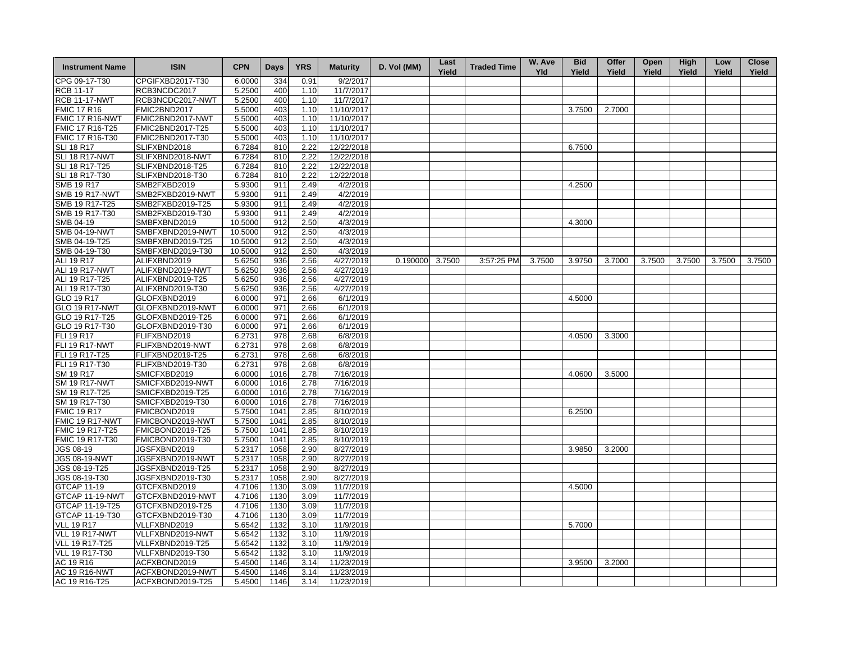| <b>Instrument Name</b> | <b>ISIN</b>      | <b>CPN</b> | Days         | <b>YRS</b> | <b>Maturity</b> | D. Vol (MM)     | Last<br>Yield | <b>Traded Time</b> | W. Ave<br><b>Yld</b> | <b>Bid</b><br>Yield | Offer<br>Yield | Open<br>Yield | High<br>Yield | Low<br>Yield | <b>Close</b><br>Yield |
|------------------------|------------------|------------|--------------|------------|-----------------|-----------------|---------------|--------------------|----------------------|---------------------|----------------|---------------|---------------|--------------|-----------------------|
| CPG 09-17-T30          | CPGIFXBD2017-T30 | 6.0000     | 334          | 0.91       | 9/2/2017        |                 |               |                    |                      |                     |                |               |               |              |                       |
| <b>RCB 11-17</b>       | RCB3NCDC2017     | 5.2500     | 400          | 1.10       | 11/7/2017       |                 |               |                    |                      |                     |                |               |               |              |                       |
| <b>RCB 11-17-NWT</b>   | RCB3NCDC2017-NWT | 5.2500     | 400          | 1.10       | 11/7/2017       |                 |               |                    |                      |                     |                |               |               |              |                       |
| <b>FMIC 17 R16</b>     | FMIC2BND2017     | 5.5000     | 403          | 1.10       | 11/10/2017      |                 |               |                    |                      | 3.7500              | 2.7000         |               |               |              |                       |
| FMIC 17 R16-NWT        | FMIC2BND2017-NWT | 5.5000     | 403          | 1.10       | 11/10/2017      |                 |               |                    |                      |                     |                |               |               |              |                       |
| FMIC 17 R16-T25        | FMIC2BND2017-T25 | 5.5000     | 403          | 1.10       | 11/10/2017      |                 |               |                    |                      |                     |                |               |               |              |                       |
| FMIC 17 R16-T30        | FMIC2BND2017-T30 | 5.5000     | 403          | 1.10       | 11/10/2017      |                 |               |                    |                      |                     |                |               |               |              |                       |
| <b>SLI 18 R17</b>      | SLIFXBND2018     | 6.7284     | 810          | 2.22       | 12/22/2018      |                 |               |                    |                      | 6.7500              |                |               |               |              |                       |
| SLI 18 R17-NWT         | SLIFXBND2018-NWT | 6.7284     | 810          | 2.22       | 12/22/2018      |                 |               |                    |                      |                     |                |               |               |              |                       |
| SLI 18 R17-T25         | SLIFXBND2018-T25 | 6.7284     | 810          | 2.22       | 12/22/2018      |                 |               |                    |                      |                     |                |               |               |              |                       |
| SLI 18 R17-T30         | SLIFXBND2018-T30 | 6.7284     | 810          | 2.22       | 12/22/2018      |                 |               |                    |                      |                     |                |               |               |              |                       |
| <b>SMB 19 R17</b>      | SMB2FXBD2019     | 5.9300     | 911          | 2.49       | 4/2/2019        |                 |               |                    |                      | 4.2500              |                |               |               |              |                       |
| <b>SMB 19 R17-NWT</b>  | SMB2FXBD2019-NWT | 5.9300     | 911          | 2.49       | 4/2/2019        |                 |               |                    |                      |                     |                |               |               |              |                       |
| SMB 19 R17-T25         | SMB2FXBD2019-T25 | 5.9300     | 911          | 2.49       | 4/2/2019        |                 |               |                    |                      |                     |                |               |               |              |                       |
| SMB 19 R17-T30         | SMB2FXBD2019-T30 | 5.9300     | 911          | 2.49       | 4/2/2019        |                 |               |                    |                      |                     |                |               |               |              |                       |
| SMB 04-19              | SMBFXBND2019     | 10.5000    | 912          | 2.50       | 4/3/2019        |                 |               |                    |                      | 4.3000              |                |               |               |              |                       |
| <b>SMB 04-19-NWT</b>   | SMBFXBND2019-NWT | 10.5000    | 912          | 2.50       | 4/3/2019        |                 |               |                    |                      |                     |                |               |               |              |                       |
| SMB 04-19-T25          | SMBFXBND2019-T25 | 10.5000    | 912          | 2.50       | 4/3/2019        |                 |               |                    |                      |                     |                |               |               |              |                       |
| SMB 04-19-T30          | SMBFXBND2019-T30 | 10.5000    | 912          | 2.50       | 4/3/2019        |                 |               |                    |                      |                     |                |               |               |              |                       |
| <b>ALI 19 R17</b>      | ALIFXBND2019     | 5.6250     | 936          | 2.56       | 4/27/2019       | 0.190000 3.7500 |               | 3:57:25 PM         | 3.7500               | 3.9750              | 3.7000         | 3.7500        | 3.7500        | 3.7500       | 3.7500                |
| <b>ALI 19 R17-NWT</b>  | ALIFXBND2019-NWT | 5.6250     | 936          | 2.56       | 4/27/2019       |                 |               |                    |                      |                     |                |               |               |              |                       |
| ALI 19 R17-T25         | ALIFXBND2019-T25 | 5.6250     | 936          | 2.56       | 4/27/2019       |                 |               |                    |                      |                     |                |               |               |              |                       |
| ALI 19 R17-T30         | ALIFXBND2019-T30 | 5.6250     | 936          | 2.56       | 4/27/2019       |                 |               |                    |                      |                     |                |               |               |              |                       |
| GLO 19 R17             | GLOFXBND2019     | 6.0000     | 971          | 2.66       | 6/1/2019        |                 |               |                    |                      | 4.5000              |                |               |               |              |                       |
| <b>GLO 19 R17-NWT</b>  | GLOFXBND2019-NWT | 6.0000     | 971          | 2.66       | 6/1/2019        |                 |               |                    |                      |                     |                |               |               |              |                       |
| GLO 19 R17-T25         | GLOFXBND2019-T25 | 6.0000     | 971          | 2.66       | 6/1/2019        |                 |               |                    |                      |                     |                |               |               |              |                       |
| GLO 19 R17-T30         | GLOFXBND2019-T30 | 6.0000     | 971          | 2.66       | 6/1/2019        |                 |               |                    |                      |                     |                |               |               |              |                       |
| FLI 19 R17             | FLIFXBND2019     | 6.2731     | 978          | 2.68       | 6/8/2019        |                 |               |                    |                      | 4.0500              | 3.3000         |               |               |              |                       |
| FLI 19 R17-NWT         | FLIFXBND2019-NWT | 6.2731     | 978          | 2.68       | 6/8/2019        |                 |               |                    |                      |                     |                |               |               |              |                       |
| FLI 19 R17-T25         | FLIFXBND2019-T25 | 6.2731     | 978          | 2.68       | 6/8/2019        |                 |               |                    |                      |                     |                |               |               |              |                       |
| FLI 19 R17-T30         | FLIFXBND2019-T30 | 6.2731     | 978          | 2.68       | 6/8/2019        |                 |               |                    |                      |                     |                |               |               |              |                       |
| SM 19 R17              | SMICFXBD2019     | 6.0000     | 1016         | 2.78       | 7/16/2019       |                 |               |                    |                      | 4.0600              | 3.5000         |               |               |              |                       |
|                        |                  |            |              |            |                 |                 |               |                    |                      |                     |                |               |               |              |                       |
| <b>SM 19 R17-NWT</b>   | SMICFXBD2019-NWT | 6.0000     | 1016<br>1016 | 2.78       | 7/16/2019       |                 |               |                    |                      |                     |                |               |               |              |                       |
| SM 19 R17-T25          | SMICFXBD2019-T25 | 6.0000     |              | 2.78       | 7/16/2019       |                 |               |                    |                      |                     |                |               |               |              |                       |
| SM 19 R17-T30          | SMICFXBD2019-T30 | 6.0000     | 1016         | 2.78       | 7/16/2019       |                 |               |                    |                      |                     |                |               |               |              |                       |
| <b>FMIC 19 R17</b>     | FMICBOND2019     | 5.7500     | 1041         | 2.85       | 8/10/2019       |                 |               |                    |                      | 6.2500              |                |               |               |              |                       |
| FMIC 19 R17-NWT        | FMICBOND2019-NWT | 5.7500     | 1041         | 2.85       | 8/10/2019       |                 |               |                    |                      |                     |                |               |               |              |                       |
| FMIC 19 R17-T25        | FMICBOND2019-T25 | 5.7500     | 1041         | 2.85       | 8/10/2019       |                 |               |                    |                      |                     |                |               |               |              |                       |
| FMIC 19 R17-T30        | FMICBOND2019-T30 | 5.7500     | 1041         | 2.85       | 8/10/2019       |                 |               |                    |                      |                     |                |               |               |              |                       |
| JGS 08-19              | JGSFXBND2019     | 5.2317     | 1058         | 2.90       | 8/27/2019       |                 |               |                    |                      | 3.9850              | 3.2000         |               |               |              |                       |
| <b>JGS 08-19-NWT</b>   | JGSFXBND2019-NWT | 5.2317     | 1058         | 2.90       | 8/27/2019       |                 |               |                    |                      |                     |                |               |               |              |                       |
| JGS 08-19-T25          | JGSFXBND2019-T25 | 5.2317     | 1058         | 2.90       | 8/27/2019       |                 |               |                    |                      |                     |                |               |               |              |                       |
| JGS 08-19-T30          | JGSFXBND2019-T30 | 5.2317     | 1058         | 2.90       | 8/27/2019       |                 |               |                    |                      |                     |                |               |               |              |                       |
| GTCAP 11-19            | GTCFXBND2019     | 4.7106     | 1130         | 3.09       | 11/7/2019       |                 |               |                    |                      | 4.5000              |                |               |               |              |                       |
| GTCAP 11-19-NWT        | GTCFXBND2019-NWT | 4.7106     | 1130         | 3.09       | 11/7/2019       |                 |               |                    |                      |                     |                |               |               |              |                       |
| GTCAP 11-19-T25        | GTCFXBND2019-T25 | 4.7106     | 1130         | 3.09       | 11/7/2019       |                 |               |                    |                      |                     |                |               |               |              |                       |
| GTCAP 11-19-T30        | GTCFXBND2019-T30 | 4.7106     | 1130         | 3.09       | 11/7/2019       |                 |               |                    |                      |                     |                |               |               |              |                       |
| <b>VLL 19 R17</b>      | VLLFXBND2019     | 5.6542     | 1132         | 3.10       | 11/9/2019       |                 |               |                    |                      | 5.7000              |                |               |               |              |                       |
| VLL 19 R17-NWT         | VLLFXBND2019-NWT | 5.6542     | 1132         | 3.10       | 11/9/2019       |                 |               |                    |                      |                     |                |               |               |              |                       |
| VLL 19 R17-T25         | VLLFXBND2019-T25 | 5.6542     | 1132         | 3.10       | 11/9/2019       |                 |               |                    |                      |                     |                |               |               |              |                       |
| <b>VLL 19 R17-T30</b>  | VLLFXBND2019-T30 | 5.6542     | 1132         | 3.10       | 11/9/2019       |                 |               |                    |                      |                     |                |               |               |              |                       |
| AC 19 R16              | ACFXBOND2019     | 5.4500     | 1146         | 3.14       | 11/23/2019      |                 |               |                    |                      | 3.9500              | 3.2000         |               |               |              |                       |
| <b>AC 19 R16-NWT</b>   | ACFXBOND2019-NWT | 5.4500     | 1146         | 3.14       | 11/23/2019      |                 |               |                    |                      |                     |                |               |               |              |                       |
| AC 19 R16-T25          | ACFXBOND2019-T25 | 5.4500     | 1146         | 3.14       | 11/23/2019      |                 |               |                    |                      |                     |                |               |               |              |                       |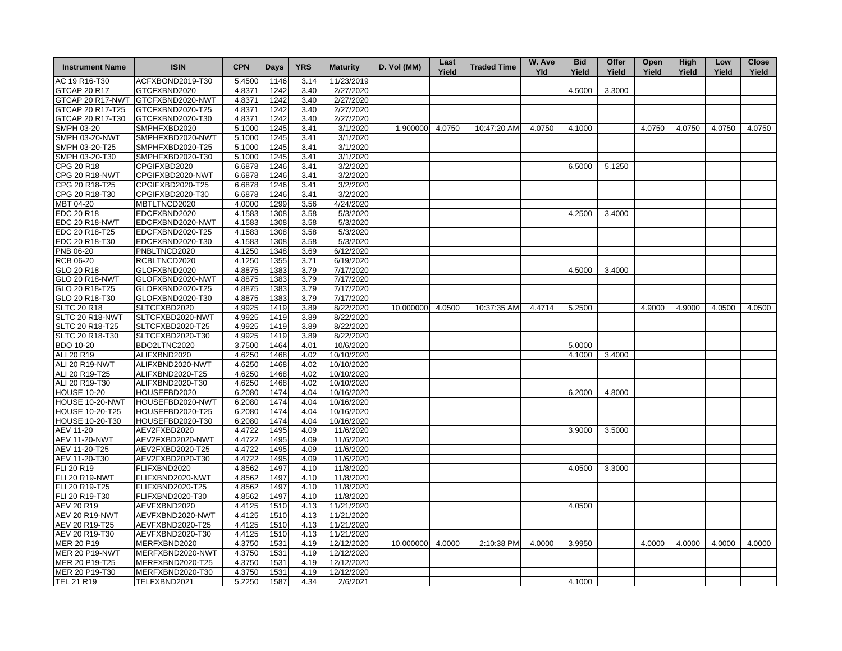| <b>Instrument Name</b> | <b>ISIN</b>      | <b>CPN</b> | Days | <b>YRS</b> | <b>Maturity</b> | D. Vol (MM)      | Last<br>Yield | <b>Traded Time</b> | W. Ave<br><b>Yld</b> | <b>Bid</b><br>Yield | Offer<br>Yield | Open<br>Yield | High<br>Yield | Low<br>Yield | <b>Close</b><br>Yield |
|------------------------|------------------|------------|------|------------|-----------------|------------------|---------------|--------------------|----------------------|---------------------|----------------|---------------|---------------|--------------|-----------------------|
| AC 19 R16-T30          | ACFXBOND2019-T30 | 5.4500     | 1146 | 3.14       | 11/23/2019      |                  |               |                    |                      |                     |                |               |               |              |                       |
| <b>GTCAP 20 R17</b>    | GTCFXBND2020     | 4.8371     | 1242 | 3.40       | 2/27/2020       |                  |               |                    |                      | 4.5000              | 3.3000         |               |               |              |                       |
| GTCAP 20 R17-NWT       | GTCFXBND2020-NWT | 4.8371     | 1242 | 3.40       | 2/27/2020       |                  |               |                    |                      |                     |                |               |               |              |                       |
| GTCAP 20 R17-T25       | GTCFXBND2020-T25 | 4.8371     | 1242 | 3.40       | 2/27/2020       |                  |               |                    |                      |                     |                |               |               |              |                       |
| GTCAP 20 R17-T30       | GTCFXBND2020-T30 | 4.8371     | 1242 | 3.40       | 2/27/2020       |                  |               |                    |                      |                     |                |               |               |              |                       |
| <b>SMPH 03-20</b>      | SMPHFXBD2020     | 5.1000     | 1245 | 3.41       | 3/1/2020        | 1.900000 4.0750  |               | 10:47:20 AM        | 4.0750               | 4.1000              |                | 4.0750        | 4.0750        | 4.0750       | 4.0750                |
| <b>SMPH 03-20-NWT</b>  | SMPHFXBD2020-NWT | 5.1000     | 1245 | 3.41       | 3/1/2020        |                  |               |                    |                      |                     |                |               |               |              |                       |
| SMPH 03-20-T25         | SMPHFXBD2020-T25 | 5.1000     | 1245 | 3.41       | 3/1/2020        |                  |               |                    |                      |                     |                |               |               |              |                       |
| SMPH 03-20-T30         | SMPHFXBD2020-T30 | 5.1000     | 1245 | 3.41       | 3/1/2020        |                  |               |                    |                      |                     |                |               |               |              |                       |
| CPG 20 R18             | CPGIFXBD2020     | 6.6878     | 1246 | 3.41       | 3/2/2020        |                  |               |                    |                      | 6.5000              | 5.1250         |               |               |              |                       |
| <b>CPG 20 R18-NWT</b>  | CPGIFXBD2020-NWT | 6.6878     | 1246 | 3.41       | 3/2/2020        |                  |               |                    |                      |                     |                |               |               |              |                       |
| CPG 20 R18-T25         | CPGIFXBD2020-T25 | 6.6878     | 1246 | 3.41       | 3/2/2020        |                  |               |                    |                      |                     |                |               |               |              |                       |
| CPG 20 R18-T30         | CPGIFXBD2020-T30 | 6.6878     | 1246 | 3.41       | 3/2/2020        |                  |               |                    |                      |                     |                |               |               |              |                       |
| MBT 04-20              | MBTLTNCD2020     | 4.0000     | 1299 | 3.56       | 4/24/2020       |                  |               |                    |                      |                     |                |               |               |              |                       |
| <b>EDC 20 R18</b>      | EDCFXBND2020     | 4.1583     | 1308 | 3.58       | 5/3/2020        |                  |               |                    |                      | 4.2500              | 3.4000         |               |               |              |                       |
| EDC 20 R18-NWT         | EDCFXBND2020-NWT | 4.1583     | 1308 | 3.58       | 5/3/2020        |                  |               |                    |                      |                     |                |               |               |              |                       |
| EDC 20 R18-T25         | EDCFXBND2020-T25 | 4.1583     | 1308 | 3.58       | 5/3/2020        |                  |               |                    |                      |                     |                |               |               |              |                       |
| EDC 20 R18-T30         | EDCFXBND2020-T30 | 4.1583     | 1308 | 3.58       | 5/3/2020        |                  |               |                    |                      |                     |                |               |               |              |                       |
| PNB 06-20              | PNBLTNCD2020     | 4.1250     | 1348 | 3.69       | 6/12/2020       |                  |               |                    |                      |                     |                |               |               |              |                       |
| <b>RCB 06-20</b>       | RCBLTNCD2020     | 4.1250     | 1355 | 3.71       | 6/19/2020       |                  |               |                    |                      |                     |                |               |               |              |                       |
| GLO 20 R18             | GLOFXBND2020     | 4.8875     | 1383 | 3.79       | 7/17/2020       |                  |               |                    |                      | 4.5000              | 3.4000         |               |               |              |                       |
| <b>GLO 20 R18-NWT</b>  | GLOFXBND2020-NWT | 4.8875     | 1383 | 3.79       | 7/17/2020       |                  |               |                    |                      |                     |                |               |               |              |                       |
| GLO 20 R18-T25         | GLOFXBND2020-T25 | 4.8875     | 1383 | 3.79       | 7/17/2020       |                  |               |                    |                      |                     |                |               |               |              |                       |
| GLO 20 R18-T30         | GLOFXBND2020-T30 | 4.8875     | 1383 | 3.79       | 7/17/2020       |                  |               |                    |                      |                     |                |               |               |              |                       |
| <b>SLTC 20 R18</b>     | SLTCFXBD2020     | 4.9925     | 1419 | 3.89       | 8/22/2020       | 10.000000        | 4.0500        | 10:37:35 AM        | 4.4714               |                     |                | 4.9000        | 4.9000        | 4.0500       | 4.0500                |
|                        |                  |            |      |            |                 |                  |               |                    |                      | 5.2500              |                |               |               |              |                       |
| SLTC 20 R18-NWT        | SLTCFXBD2020-NWT | 4.9925     | 1419 | 3.89       | 8/22/2020       |                  |               |                    |                      |                     |                |               |               |              |                       |
| <b>SLTC 20 R18-T25</b> | SLTCFXBD2020-T25 | 4.9925     | 1419 | 3.89       | 8/22/2020       |                  |               |                    |                      |                     |                |               |               |              |                       |
| SLTC 20 R18-T30        | SLTCFXBD2020-T30 | 4.9925     | 1419 | 3.89       | 8/22/2020       |                  |               |                    |                      |                     |                |               |               |              |                       |
| <b>BDO 10-20</b>       | BDO2LTNC2020     | 3.7500     | 1464 | 4.01       | 10/6/2020       |                  |               |                    |                      | 5.0000              |                |               |               |              |                       |
| ALI 20 R19             | ALIFXBND2020     | 4.6250     | 1468 | 4.02       | 10/10/2020      |                  |               |                    |                      | 4.1000              | 3.4000         |               |               |              |                       |
| ALI 20 R19-NWT         | ALIFXBND2020-NWT | 4.6250     | 1468 | 4.02       | 10/10/2020      |                  |               |                    |                      |                     |                |               |               |              |                       |
| ALI 20 R19-T25         | ALIFXBND2020-T25 | 4.6250     | 1468 | 4.02       | 10/10/2020      |                  |               |                    |                      |                     |                |               |               |              |                       |
| ALI 20 R19-T30         | ALIFXBND2020-T30 | 4.6250     | 1468 | 4.02       | 10/10/2020      |                  |               |                    |                      |                     |                |               |               |              |                       |
| <b>HOUSE 10-20</b>     | HOUSEFBD2020     | 6.2080     | 1474 | 4.04       | 10/16/2020      |                  |               |                    |                      | 6.2000              | 4.8000         |               |               |              |                       |
| HOUSE 10-20-NWT        | HOUSEFBD2020-NWT | 6.2080     | 1474 | 4.04       | 10/16/2020      |                  |               |                    |                      |                     |                |               |               |              |                       |
| <b>HOUSE 10-20-T25</b> | HOUSEFBD2020-T25 | 6.2080     | 1474 | 4.04       | 10/16/2020      |                  |               |                    |                      |                     |                |               |               |              |                       |
| HOUSE 10-20-T30        | HOUSEFBD2020-T30 | 6.2080     | 1474 | 4.04       | 10/16/2020      |                  |               |                    |                      |                     |                |               |               |              |                       |
| AEV 11-20              | AEV2FXBD2020     | 4.4722     | 1495 | 4.09       | 11/6/2020       |                  |               |                    |                      | 3.9000              | 3.5000         |               |               |              |                       |
| <b>AEV 11-20-NWT</b>   | AEV2FXBD2020-NWT | 4.4722     | 1495 | 4.09       | 11/6/2020       |                  |               |                    |                      |                     |                |               |               |              |                       |
| AEV 11-20-T25          | AEV2FXBD2020-T25 | 4.4722     | 1495 | 4.09       | 11/6/2020       |                  |               |                    |                      |                     |                |               |               |              |                       |
| AEV 11-20-T30          | AEV2FXBD2020-T30 | 4.4722     | 1495 | 4.09       | 11/6/2020       |                  |               |                    |                      |                     |                |               |               |              |                       |
| FLI 20 R19             | FLIFXBND2020     | 4.8562     | 1497 | 4.10       | 11/8/2020       |                  |               |                    |                      | 4.0500              | 3.3000         |               |               |              |                       |
| <b>FLI 20 R19-NWT</b>  | FLIFXBND2020-NWT | 4.8562     | 1497 | 4.10       | 11/8/2020       |                  |               |                    |                      |                     |                |               |               |              |                       |
| FLI 20 R19-T25         | FLIFXBND2020-T25 | 4.8562     | 1497 | 4.10       | 11/8/2020       |                  |               |                    |                      |                     |                |               |               |              |                       |
| FLI 20 R19-T30         | FLIFXBND2020-T30 | 4.8562     | 1497 | 4.10       | 11/8/2020       |                  |               |                    |                      |                     |                |               |               |              |                       |
| AEV 20 R19             | AEVFXBND2020     | 4.4125     | 1510 | 4.13       | 11/21/2020      |                  |               |                    |                      | 4.0500              |                |               |               |              |                       |
| AEV 20 R19-NWT         | AEVFXBND2020-NWT | 4.4125     | 1510 | 4.13       | 11/21/2020      |                  |               |                    |                      |                     |                |               |               |              |                       |
| AEV 20 R19-T25         | AEVFXBND2020-T25 | 4.4125     | 1510 | 4.13       | 11/21/2020      |                  |               |                    |                      |                     |                |               |               |              |                       |
| AEV 20 R19-T30         | AEVFXBND2020-T30 | 4.4125     | 1510 | 4.13       | 11/21/2020      |                  |               |                    |                      |                     |                |               |               |              |                       |
| MER 20 P19             | MERFXBND2020     | 4.3750     | 1531 | 4.19       | 12/12/2020      | 10.000000 4.0000 |               | 2:10:38 PM         | 4.0000               | 3.9950              |                | 4.0000        | 4.0000        | 4.0000       | 4.0000                |
| <b>MER 20 P19-NWT</b>  | MERFXBND2020-NWT | 4.3750     | 1531 | 4.19       | 12/12/2020      |                  |               |                    |                      |                     |                |               |               |              |                       |
| MER 20 P19-T25         | MERFXBND2020-T25 | 4.3750     | 1531 | 4.19       | 12/12/2020      |                  |               |                    |                      |                     |                |               |               |              |                       |
| MER 20 P19-T30         | MERFXBND2020-T30 | 4.3750     | 1531 | 4.19       | 12/12/2020      |                  |               |                    |                      |                     |                |               |               |              |                       |
| TEL 21 R19             | TELFXBND2021     | 5.2250     | 1587 | 4.34       | 2/6/2021        |                  |               |                    |                      | 4.1000              |                |               |               |              |                       |
|                        |                  |            |      |            |                 |                  |               |                    |                      |                     |                |               |               |              |                       |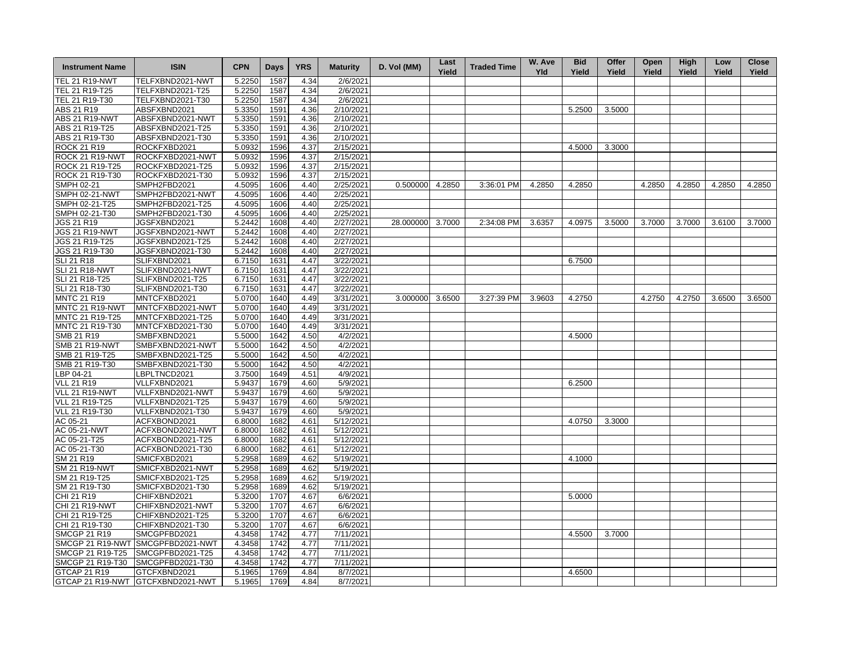| <b>Instrument Name</b> | <b>ISIN</b>                       | <b>CPN</b> | <b>Days</b> | <b>YRS</b> | <b>Maturity</b> | D. Vol (MM) | Last<br>Yield | <b>Traded Time</b> | W. Ave<br><b>Yld</b> | <b>Bid</b><br>Yield | Offer<br>Yield | Open<br>Yield | <b>High</b><br>Yield | Low<br>Yield | <b>Close</b><br>Yield |
|------------------------|-----------------------------------|------------|-------------|------------|-----------------|-------------|---------------|--------------------|----------------------|---------------------|----------------|---------------|----------------------|--------------|-----------------------|
| <b>TEL 21 R19-NWT</b>  | TELFXBND2021-NWT                  | 5.2250     | 1587        | 4.34       | 2/6/2021        |             |               |                    |                      |                     |                |               |                      |              |                       |
| TEL 21 R19-T25         | TELFXBND2021-T25                  | 5.2250     | 1587        | 4.34       | 2/6/2021        |             |               |                    |                      |                     |                |               |                      |              |                       |
| TEL 21 R19-T30         | TELFXBND2021-T30                  | 5.2250     | 1587        | 4.34       | 2/6/2021        |             |               |                    |                      |                     |                |               |                      |              |                       |
| ABS 21 R19             | ABSFXBND2021                      | 5.3350     | 1591        | 4.36       | 2/10/2021       |             |               |                    |                      | 5.2500              | 3.5000         |               |                      |              |                       |
| <b>ABS 21 R19-NWT</b>  | ABSFXBND2021-NWT                  | 5.3350     | 1591        | 4.36       | 2/10/2021       |             |               |                    |                      |                     |                |               |                      |              |                       |
| ABS 21 R19-T25         | ABSFXBND2021-T25                  | 5.3350     | 1591        | 4.36       | 2/10/2021       |             |               |                    |                      |                     |                |               |                      |              |                       |
| ABS 21 R19-T30         | ABSFXBND2021-T30                  | 5.3350     | 1591        | 4.36       | 2/10/2021       |             |               |                    |                      |                     |                |               |                      |              |                       |
| <b>ROCK 21 R19</b>     | ROCKFXBD2021                      | 5.0932     | 1596        | 4.37       | 2/15/2021       |             |               |                    |                      | 4.5000              | 3.3000         |               |                      |              |                       |
| ROCK 21 R19-NWT        | ROCKFXBD2021-NWT                  | 5.0932     | 1596        | 4.37       | 2/15/2021       |             |               |                    |                      |                     |                |               |                      |              |                       |
| ROCK 21 R19-T25        | ROCKFXBD2021-T25                  | 5.0932     | 1596        | 4.37       | 2/15/2021       |             |               |                    |                      |                     |                |               |                      |              |                       |
| ROCK 21 R19-T30        | ROCKFXBD2021-T30                  | 5.0932     | 1596        | 4.37       | 2/15/2021       |             |               |                    |                      |                     |                |               |                      |              |                       |
| <b>SMPH 02-21</b>      | SMPH2FBD2021                      | 4.5095     | 1606        | 4.40       | 2/25/2021       | 0.500000    | 4.2850        | 3:36:01 PM         | 4.2850               | 4.2850              |                | 4.2850        | 4.2850               | 4.2850       | 4.2850                |
| <b>SMPH 02-21-NWT</b>  | SMPH2FBD2021-NWT                  | 4.5095     | 1606        | 4.40       | 2/25/2021       |             |               |                    |                      |                     |                |               |                      |              |                       |
| SMPH 02-21-T25         | SMPH2FBD2021-T25                  | 4.5095     | 1606        | 4.40       | 2/25/2021       |             |               |                    |                      |                     |                |               |                      |              |                       |
| SMPH 02-21-T30         | SMPH2FBD2021-T30                  | 4.5095     | 1606        | 4.40       | 2/25/2021       |             |               |                    |                      |                     |                |               |                      |              |                       |
| JGS 21 R19             | JGSFXBND2021                      | 5.2442     | 1608        | 4.40       | 2/27/2021       | 28.000000   | 3.7000        | 2:34:08 PM         | 3.6357               | 4.0975              | 3.5000         | 3.7000        | 3.7000               | 3.6100       | 3.7000                |
| <b>JGS 21 R19-NWT</b>  | JGSFXBND2021-NWT                  | 5.2442     | 1608        | 4.40       | 2/27/2021       |             |               |                    |                      |                     |                |               |                      |              |                       |
| JGS 21 R19-T25         | JGSFXBND2021-T25                  | 5.2442     | 1608        | 4.40       | 2/27/2021       |             |               |                    |                      |                     |                |               |                      |              |                       |
| JGS 21 R19-T30         | JGSFXBND2021-T30                  | 5.2442     | 1608        | 4.40       | 2/27/2021       |             |               |                    |                      |                     |                |               |                      |              |                       |
| <b>SLI 21 R18</b>      | SLIFXBND2021                      | 6.7150     | 1631        | 4.47       | 3/22/2021       |             |               |                    |                      | 6.7500              |                |               |                      |              |                       |
| <b>SLI 21 R18-NWT</b>  | SLIFXBND2021-NWT                  | 6.7150     | 1631        | 4.47       | 3/22/2021       |             |               |                    |                      |                     |                |               |                      |              |                       |
| SLI 21 R18-T25         | SLIFXBND2021-T25                  | 6.7150     | 1631        | 4.47       | 3/22/2021       |             |               |                    |                      |                     |                |               |                      |              |                       |
| SLI 21 R18-T30         | SLIFXBND2021-T30                  | 6.7150     | 1631        | 4.47       | 3/22/2021       |             |               |                    |                      |                     |                |               |                      |              |                       |
| <b>MNTC 21 R19</b>     | MNTCFXBD2021                      | 5.0700     | 1640        | 4.49       | 3/31/2021       | 3.000000    | 3.6500        | 3:27:39 PM         | 3.9603               | 4.2750              |                | 4.2750        | 4.2750               | 3.6500       | 3.6500                |
| MNTC 21 R19-NWT        | MNTCFXBD2021-NWT                  | 5.0700     | 1640        | 4.49       | 3/31/2021       |             |               |                    |                      |                     |                |               |                      |              |                       |
| MNTC 21 R19-T25        | MNTCFXBD2021-T25                  | 5.0700     | 1640        | 4.49       | 3/31/2021       |             |               |                    |                      |                     |                |               |                      |              |                       |
| MNTC 21 R19-T30        | MNTCFXBD2021-T30                  | 5.0700     | 1640        | 4.49       | 3/31/2021       |             |               |                    |                      |                     |                |               |                      |              |                       |
| SMB 21 R19             |                                   |            | 1642        |            | 4/2/2021        |             |               |                    |                      |                     |                |               |                      |              |                       |
|                        | SMBFXBND2021                      | 5.5000     |             | 4.50       |                 |             |               |                    |                      | 4.5000              |                |               |                      |              |                       |
| <b>SMB 21 R19-NWT</b>  | SMBFXBND2021-NWT                  | 5.5000     | 1642        | 4.50       | 4/2/2021        |             |               |                    |                      |                     |                |               |                      |              |                       |
| SMB 21 R19-T25         | SMBFXBND2021-T25                  | 5.5000     | 1642        | 4.50       | 4/2/2021        |             |               |                    |                      |                     |                |               |                      |              |                       |
| SMB 21 R19-T30         | SMBFXBND2021-T30                  | 5.5000     | 1642        | 4.50       | 4/2/2021        |             |               |                    |                      |                     |                |               |                      |              |                       |
| LBP 04-21              | LBPLTNCD2021                      | 3.7500     | 1649        | 4.51       | 4/9/2021        |             |               |                    |                      |                     |                |               |                      |              |                       |
| <b>VLL 21 R19</b>      | VLLFXBND2021                      | 5.9437     | 1679        | 4.60       | 5/9/2021        |             |               |                    |                      | 6.2500              |                |               |                      |              |                       |
| VLL 21 R19-NWT         | VLLFXBND2021-NWT                  | 5.9437     | 1679        | 4.60       | 5/9/2021        |             |               |                    |                      |                     |                |               |                      |              |                       |
| VLL 21 R19-T25         | VLLFXBND2021-T25                  | 5.9437     | 1679        | 4.60       | 5/9/2021        |             |               |                    |                      |                     |                |               |                      |              |                       |
| VLL 21 R19-T30         | VLLFXBND2021-T30                  | 5.9437     | 1679        | 4.60       | 5/9/2021        |             |               |                    |                      |                     |                |               |                      |              |                       |
| AC 05-21               | ACFXBOND2021                      | 6.8000     | 1682        | 4.61       | 5/12/2021       |             |               |                    |                      | 4.0750              | 3.3000         |               |                      |              |                       |
| AC 05-21-NWT           | ACFXBOND2021-NWT                  | 6.8000     | 1682        | 4.61       | 5/12/2021       |             |               |                    |                      |                     |                |               |                      |              |                       |
| AC 05-21-T25           | ACFXBOND2021-T25                  | 6.8000     | 1682        | 4.61       | 5/12/2021       |             |               |                    |                      |                     |                |               |                      |              |                       |
| AC 05-21-T30           | ACFXBOND2021-T30                  | 6.8000     | 1682        | 4.61       | 5/12/2021       |             |               |                    |                      |                     |                |               |                      |              |                       |
| SM 21 R19              | SMICFXBD2021                      | 5.2958     | 1689        | 4.62       | 5/19/2021       |             |               |                    |                      | 4.1000              |                |               |                      |              |                       |
| <b>SM 21 R19-NWT</b>   | SMICFXBD2021-NWT                  | 5.2958     | 1689        | 4.62       | 5/19/2021       |             |               |                    |                      |                     |                |               |                      |              |                       |
| SM 21 R19-T25          | SMICFXBD2021-T25                  | 5.2958     | 1689        | 4.62       | 5/19/2021       |             |               |                    |                      |                     |                |               |                      |              |                       |
| SM 21 R19-T30          | SMICFXBD2021-T30                  | 5.2958     | 1689        | 4.62       | 5/19/2021       |             |               |                    |                      |                     |                |               |                      |              |                       |
| CHI 21 R19             | CHIFXBND2021                      | 5.3200     | 1707        | 4.67       | 6/6/2021        |             |               |                    |                      | 5.0000              |                |               |                      |              |                       |
| <b>CHI 21 R19-NWT</b>  | CHIFXBND2021-NWT                  | 5.3200     | 1707        | 4.67       | 6/6/2021        |             |               |                    |                      |                     |                |               |                      |              |                       |
| CHI 21 R19-T25         | CHIFXBND2021-T25                  | 5.3200     | 1707        | 4.67       | 6/6/2021        |             |               |                    |                      |                     |                |               |                      |              |                       |
| CHI 21 R19-T30         | CHIFXBND2021-T30                  | 5.3200     | 1707        | 4.67       | 6/6/2021        |             |               |                    |                      |                     |                |               |                      |              |                       |
| <b>SMCGP 21 R19</b>    | SMCGPFBD2021                      | 4.3458     | 1742        | 4.77       | 7/11/2021       |             |               |                    |                      | 4.5500              | 3.7000         |               |                      |              |                       |
|                        | SMCGP 21 R19-NWT SMCGPFBD2021-NWT | 4.3458     | 1742        | 4.77       | 7/11/2021       |             |               |                    |                      |                     |                |               |                      |              |                       |
| SMCGP 21 R19-T25       | SMCGPFBD2021-T25                  | 4.3458     | 1742        | 4.77       | 7/11/2021       |             |               |                    |                      |                     |                |               |                      |              |                       |
| SMCGP 21 R19-T30       | SMCGPFBD2021-T30                  | 4.3458     | 1742        | 4.77       | 7/11/2021       |             |               |                    |                      |                     |                |               |                      |              |                       |
| GTCAP 21 R19           | GTCFXBND2021                      | 5.1965     | 1769        | 4.84       | 8/7/2021        |             |               |                    |                      | 4.6500              |                |               |                      |              |                       |
|                        | GTCAP 21 R19-NWT GTCFXBND2021-NWT | 5.1965     | 1769        | 4.84       | 8/7/2021        |             |               |                    |                      |                     |                |               |                      |              |                       |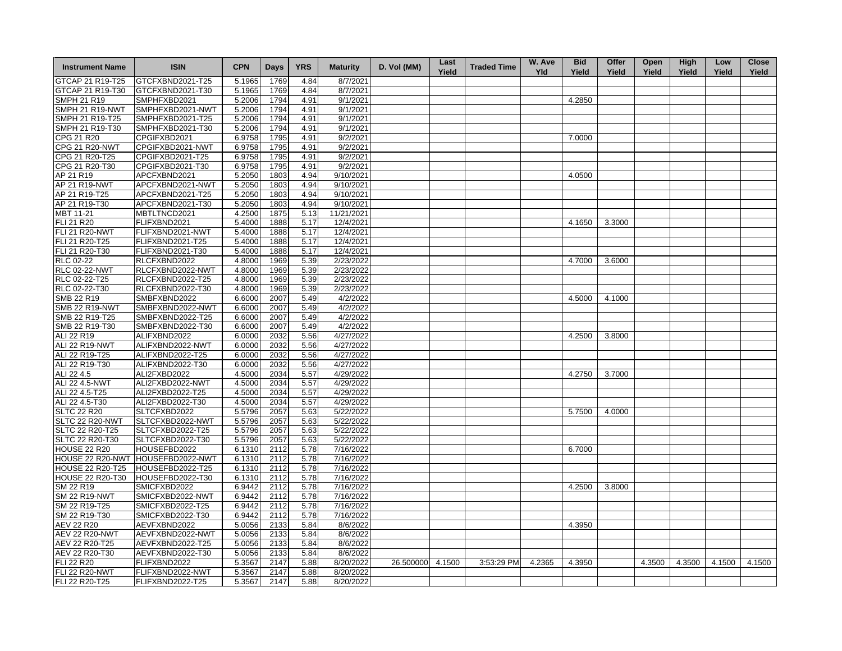| <b>Instrument Name</b>                | <b>ISIN</b>                       | <b>CPN</b> | <b>Days</b>  | <b>YRS</b> | <b>Maturity</b> | D. Vol (MM) | Last<br>Yield | <b>Traded Time</b> | W. Ave<br><b>Yld</b> | <b>Bid</b><br>Yield | Offer<br>Yield | Open<br>Yield | High<br>Yield | Low<br>Yield | <b>Close</b><br>Yield |
|---------------------------------------|-----------------------------------|------------|--------------|------------|-----------------|-------------|---------------|--------------------|----------------------|---------------------|----------------|---------------|---------------|--------------|-----------------------|
| GTCAP 21 R19-T25                      | GTCFXBND2021-T25                  | 5.1965     | 1769         | 4.84       | 8/7/2021        |             |               |                    |                      |                     |                |               |               |              |                       |
| GTCAP 21 R19-T30                      | GTCFXBND2021-T30                  | 5.1965     | 1769         | 4.84       | 8/7/2021        |             |               |                    |                      |                     |                |               |               |              |                       |
| <b>SMPH 21 R19</b>                    | SMPHFXBD2021                      | 5.2006     | 1794         | 4.91       | 9/1/2021        |             |               |                    |                      | 4.2850              |                |               |               |              |                       |
| SMPH 21 R19-NWT                       | SMPHFXBD2021-NWT                  | 5.2006     | 1794         | 4.91       | 9/1/2021        |             |               |                    |                      |                     |                |               |               |              |                       |
| SMPH 21 R19-T25                       | SMPHFXBD2021-T25                  | 5.2006     | 1794         | 4.91       | 9/1/2021        |             |               |                    |                      |                     |                |               |               |              |                       |
| SMPH 21 R19-T30                       | SMPHFXBD2021-T30                  | 5.2006     | 1794         | 4.91       | 9/1/2021        |             |               |                    |                      |                     |                |               |               |              |                       |
| CPG 21 R20                            | CPGIFXBD2021                      | 6.9758     | 1795         | 4.91       | 9/2/2021        |             |               |                    |                      | 7.0000              |                |               |               |              |                       |
| <b>CPG 21 R20-NWT</b>                 | CPGIFXBD2021-NWT                  | 6.9758     | 1795         | 4.91       | 9/2/2021        |             |               |                    |                      |                     |                |               |               |              |                       |
| CPG 21 R20-T25                        | CPGIFXBD2021-T25                  | 6.9758     | 1795         | 4.91       | 9/2/2021        |             |               |                    |                      |                     |                |               |               |              |                       |
| CPG 21 R20-T30                        | CPGIFXBD2021-T30                  | 6.9758     | 1795         | 4.91       | 9/2/2021        |             |               |                    |                      |                     |                |               |               |              |                       |
| AP 21 R19                             | APCFXBND2021                      | 5.2050     | 1803         | 4.94       | 9/10/2021       |             |               |                    |                      | 4.0500              |                |               |               |              |                       |
| AP 21 R19-NWT                         | APCFXBND2021-NWT                  | 5.2050     | 1803         | 4.94       | 9/10/2021       |             |               |                    |                      |                     |                |               |               |              |                       |
| AP 21 R19-T25                         | APCFXBND2021-T25                  | 5.2050     | 1803         | 4.94       | 9/10/2021       |             |               |                    |                      |                     |                |               |               |              |                       |
| AP 21 R19-T30                         |                                   |            | 1803         | 4.94       | 9/10/2021       |             |               |                    |                      |                     |                |               |               |              |                       |
|                                       | APCFXBND2021-T30                  | 5.2050     |              |            |                 |             |               |                    |                      |                     |                |               |               |              |                       |
| MBT 11-21                             | MBTLTNCD2021                      | 4.2500     | 1875         | 5.13       | 11/21/2021      |             |               |                    |                      |                     |                |               |               |              |                       |
| FLI 21 R20                            | FLIFXBND2021                      | 5.4000     | 1888         | 5.17       | 12/4/2021       |             |               |                    |                      | 4.1650              | 3.3000         |               |               |              |                       |
| <b>FLI 21 R20-NWT</b>                 | FLIFXBND2021-NWT                  | 5.4000     | 1888         | 5.17       | 12/4/2021       |             |               |                    |                      |                     |                |               |               |              |                       |
| FLI 21 R20-T25                        | FLIFXBND2021-T25                  | 5.4000     | 1888         | 5.17       | 12/4/2021       |             |               |                    |                      |                     |                |               |               |              |                       |
| FLI 21 R20-T30                        | FLIFXBND2021-T30                  | 5.4000     | 1888         | 5.17       | 12/4/2021       |             |               |                    |                      |                     |                |               |               |              |                       |
| RLC 02-22                             | RLCFXBND2022                      | 4.8000     | 1969         | 5.39       | 2/23/2022       |             |               |                    |                      | 4.7000              | 3.6000         |               |               |              |                       |
| <b>RLC 02-22-NWT</b>                  | RLCFXBND2022-NWT                  | 4.8000     | 1969         | 5.39       | 2/23/2022       |             |               |                    |                      |                     |                |               |               |              |                       |
| RLC 02-22-T25                         | RLCFXBND2022-T25                  | 4.8000     | 1969         | 5.39       | 2/23/2022       |             |               |                    |                      |                     |                |               |               |              |                       |
| RLC 02-22-T30                         | RLCFXBND2022-T30                  | 4.8000     | 1969         | 5.39       | 2/23/2022       |             |               |                    |                      |                     |                |               |               |              |                       |
| <b>SMB 22 R19</b>                     | SMBFXBND2022                      | 6.6000     | 2007         | 5.49       | 4/2/2022        |             |               |                    |                      | 4.5000              | 4.1000         |               |               |              |                       |
| <b>SMB 22 R19-NWT</b>                 | SMBFXBND2022-NWT                  | 6.6000     | 2007         | 5.49       | 4/2/2022        |             |               |                    |                      |                     |                |               |               |              |                       |
| SMB 22 R19-T25                        | SMBFXBND2022-T25                  | 6.6000     | 2007         | 5.49       | 4/2/2022        |             |               |                    |                      |                     |                |               |               |              |                       |
| SMB 22 R19-T30                        | SMBFXBND2022-T30                  | 6.6000     | 2007         | 5.49       | 4/2/2022        |             |               |                    |                      |                     |                |               |               |              |                       |
| ALI 22 R19                            | ALIFXBND2022                      | 6.0000     | 2032         | 5.56       | 4/27/2022       |             |               |                    |                      | 4.2500              | 3.8000         |               |               |              |                       |
| ALI 22 R19-NWT                        | ALIFXBND2022-NWT                  | 6.0000     | 2032         | 5.56       | 4/27/2022       |             |               |                    |                      |                     |                |               |               |              |                       |
| ALI 22 R19-T25                        | ALIFXBND2022-T25                  | 6.0000     | 2032         | 5.56       | 4/27/2022       |             |               |                    |                      |                     |                |               |               |              |                       |
| ALI 22 R19-T30                        | ALIFXBND2022-T30                  | 6.0000     | 2032         | 5.56       | 4/27/2022       |             |               |                    |                      |                     |                |               |               |              |                       |
| ALI 22 4.5                            | ALI2FXBD2022                      | 4.5000     | 2034         | 5.57       | 4/29/2022       |             |               |                    |                      | 4.2750              | 3.7000         |               |               |              |                       |
| ALI 22 4.5-NWT                        | ALI2FXBD2022-NWT                  | 4.5000     | 2034         | 5.57       | 4/29/2022       |             |               |                    |                      |                     |                |               |               |              |                       |
| ALI 22 4.5-T25                        | ALI2FXBD2022-T25                  | 4.5000     | 2034         | 5.57       | 4/29/2022       |             |               |                    |                      |                     |                |               |               |              |                       |
| ALI 22 4.5-T30                        | ALI2FXBD2022-T30                  | 4.5000     | 2034         | 5.57       | 4/29/2022       |             |               |                    |                      |                     |                |               |               |              |                       |
| <b>SLTC 22 R20</b>                    | SLTCFXBD2022                      | 5.5796     | 2057         | 5.63       | 5/22/2022       |             |               |                    |                      | 5.7500              | 4.0000         |               |               |              |                       |
| SLTC 22 R20-NWT                       | SLTCFXBD2022-NWT                  | 5.5796     | 2057         | 5.63       | 5/22/2022       |             |               |                    |                      |                     |                |               |               |              |                       |
| SLTC 22 R20-T25                       | SLTCFXBD2022-T25                  | 5.5796     | 2057         | 5.63       | 5/22/2022       |             |               |                    |                      |                     |                |               |               |              |                       |
| SLTC 22 R20-T30                       | SLTCFXBD2022-T30                  | 5.5796     | 2057         | 5.63       | 5/22/2022       |             |               |                    |                      |                     |                |               |               |              |                       |
| HOUSE 22 R20                          | HOUSEFBD2022                      | 6.1310     | 2112         | 5.78       | 7/16/2022       |             |               |                    |                      | 6.7000              |                |               |               |              |                       |
|                                       | HOUSE 22 R20-NWT HOUSEFBD2022-NWT | 6.1310     | 2112         | 5.78       | 7/16/2022       |             |               |                    |                      |                     |                |               |               |              |                       |
| <b>HOUSE 22 R20-T25</b>               | HOUSEFBD2022-T25                  | 6.1310     | 2112         | 5.78       | 7/16/2022       |             |               |                    |                      |                     |                |               |               |              |                       |
| <b>HOUSE 22 R20-T30</b>               | HOUSEFBD2022-T30                  | 6.1310     | 2112         | 5.78       | 7/16/2022       |             |               |                    |                      |                     |                |               |               |              |                       |
| SM 22 R19                             | SMICFXBD2022                      | 6.9442     | 2112         | 5.78       | 7/16/2022       |             |               |                    |                      | 4.2500              | 3.8000         |               |               |              |                       |
|                                       |                                   |            |              |            |                 |             |               |                    |                      |                     |                |               |               |              |                       |
| <b>SM 22 R19-NWT</b><br>SM 22 R19-T25 | SMICFXBD2022-NWT                  | 6.9442     | 2112<br>2112 | 5.78       | 7/16/2022       |             |               |                    |                      |                     |                |               |               |              |                       |
|                                       | SMICFXBD2022-T25                  | 6.9442     |              | 5.78       | 7/16/2022       |             |               |                    |                      |                     |                |               |               |              |                       |
| SM 22 R19-T30                         | SMICFXBD2022-T30                  | 6.9442     | 2112         | 5.78       | 7/16/2022       |             |               |                    |                      |                     |                |               |               |              |                       |
| <b>AEV 22 R20</b>                     | AEVFXBND2022                      | 5.0056     | 2133         | 5.84       | 8/6/2022        |             |               |                    |                      | 4.3950              |                |               |               |              |                       |
| <b>AEV 22 R20-NWT</b>                 | AEVFXBND2022-NWT                  | 5.0056     | 2133         | 5.84       | 8/6/2022        |             |               |                    |                      |                     |                |               |               |              |                       |
| AEV 22 R20-T25                        | AEVFXBND2022-T25                  | 5.0056     | 2133         | 5.84       | 8/6/2022        |             |               |                    |                      |                     |                |               |               |              |                       |
| AEV 22 R20-T30                        | AEVFXBND2022-T30                  | 5.0056     | 2133         | 5.84       | 8/6/2022        |             |               |                    |                      |                     |                |               |               |              |                       |
| <b>FLI 22 R20</b>                     | FLIFXBND2022                      | 5.3567     | 2147         | 5.88       | 8/20/2022       | 26.500000   | 4.1500        | 3:53:29 PM         | 4.2365               | 4.3950              |                | 4.3500        | 4.3500        | 4.1500       | 4.1500                |
| FLI 22 R20-NWT                        | FLIFXBND2022-NWT                  | 5.3567     | 2147         | 5.88       | 8/20/2022       |             |               |                    |                      |                     |                |               |               |              |                       |
| FLI 22 R20-T25                        | FLIFXBND2022-T25                  | 5.3567     | 2147         | 5.88       | 8/20/2022       |             |               |                    |                      |                     |                |               |               |              |                       |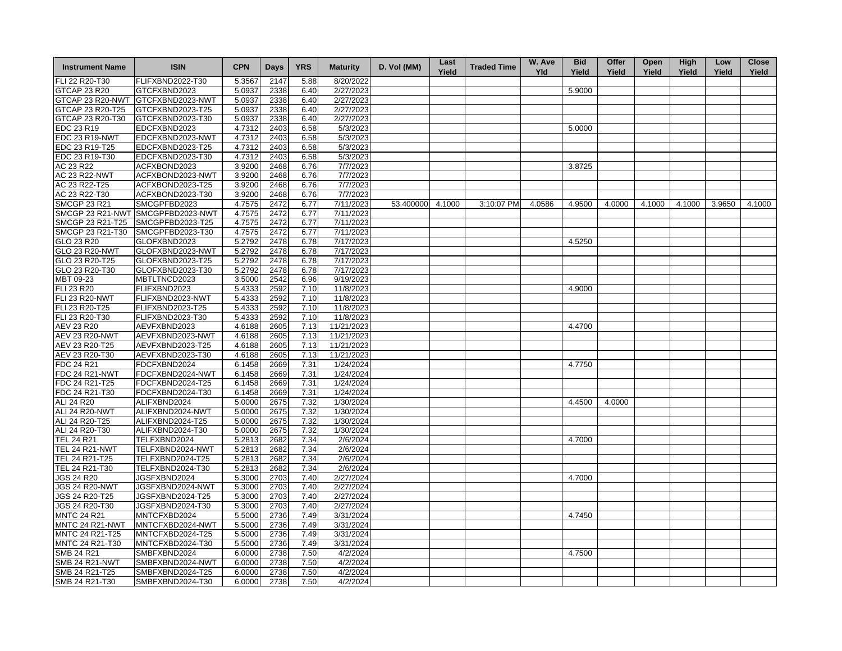| <b>Instrument Name</b>       | <b>ISIN</b>                       | <b>CPN</b> | Days | <b>YRS</b> | <b>Maturity</b>        | D. Vol (MM)      | Last<br>Yield | <b>Traded Time</b> | W. Ave<br><b>Yld</b> | <b>Bid</b><br>Yield | Offer<br>Yield | Open<br>Yield | High<br>Yield | Low<br>Yield | <b>Close</b><br>Yield |
|------------------------------|-----------------------------------|------------|------|------------|------------------------|------------------|---------------|--------------------|----------------------|---------------------|----------------|---------------|---------------|--------------|-----------------------|
| FLI 22 R20-T30               | FLIFXBND2022-T30                  | 5.3567     | 2147 | 5.88       | 8/20/2022              |                  |               |                    |                      |                     |                |               |               |              |                       |
| <b>GTCAP 23 R20</b>          | GTCFXBND2023                      | 5.0937     | 2338 | 6.40       | 2/27/2023              |                  |               |                    |                      | 5.9000              |                |               |               |              |                       |
| GTCAP 23 R20-NWT             | GTCFXBND2023-NWT                  | 5.0937     | 2338 | 6.40       | 2/27/2023              |                  |               |                    |                      |                     |                |               |               |              |                       |
| GTCAP 23 R20-T25             | GTCFXBND2023-T25                  | 5.0937     | 2338 | 6.40       | 2/27/2023              |                  |               |                    |                      |                     |                |               |               |              |                       |
| GTCAP 23 R20-T30             | GTCFXBND2023-T30                  | 5.0937     | 2338 | 6.40       | 2/27/2023              |                  |               |                    |                      |                     |                |               |               |              |                       |
| EDC 23 R19                   | EDCFXBND2023                      | 4.7312     | 2403 | 6.58       | 5/3/2023               |                  |               |                    |                      | 5.0000              |                |               |               |              |                       |
| <b>EDC 23 R19-NWT</b>        | EDCFXBND2023-NWT                  | 4.7312     | 2403 | 6.58       | 5/3/2023               |                  |               |                    |                      |                     |                |               |               |              |                       |
| EDC 23 R19-T25               | EDCFXBND2023-T25                  | 4.7312     | 2403 | 6.58       | 5/3/2023               |                  |               |                    |                      |                     |                |               |               |              |                       |
| EDC 23 R19-T30               | EDCFXBND2023-T30                  | 4.7312     | 2403 | 6.58       | 5/3/2023               |                  |               |                    |                      |                     |                |               |               |              |                       |
| AC 23 R22                    | ACFXBOND2023                      | 3.9200     | 2468 | 6.76       | 7/7/2023               |                  |               |                    |                      | 3.8725              |                |               |               |              |                       |
| <b>AC 23 R22-NWT</b>         | ACFXBOND2023-NWT                  | 3.9200     | 2468 | 6.76       | 7/7/2023               |                  |               |                    |                      |                     |                |               |               |              |                       |
| AC 23 R22-T25                | ACFXBOND2023-T25                  | 3.9200     | 2468 | 6.76       | 7/7/2023               |                  |               |                    |                      |                     |                |               |               |              |                       |
| AC 23 R22-T30                | ACFXBOND2023-T30                  | 3.9200     | 2468 | 6.76       | 7/7/2023               |                  |               |                    |                      |                     |                |               |               |              |                       |
| <b>SMCGP 23 R21</b>          | SMCGPFBD2023                      | 4.7575     | 2472 | 6.77       | 7/11/2023              | 53.400000 4.1000 |               | 3:10:07 PM         | 4.0586               | 4.9500              | 4.0000         | 4.1000        | 4.1000        | 3.9650       | 4.1000                |
|                              | SMCGP 23 R21-NWT SMCGPFBD2023-NWT | 4.7575     | 2472 | 6.77       | 7/11/2023              |                  |               |                    |                      |                     |                |               |               |              |                       |
|                              | SMCGP 23 R21-T25 SMCGPFBD2023-T25 | 4.7575     | 2472 | 6.77       | 7/11/2023              |                  |               |                    |                      |                     |                |               |               |              |                       |
|                              |                                   |            |      | 6.77       |                        |                  |               |                    |                      |                     |                |               |               |              |                       |
| SMCGP 23 R21-T30             | SMCGPFBD2023-T30<br>GLOFXBND2023  | 4.7575     | 2472 |            | 7/11/2023<br>7/17/2023 |                  |               |                    |                      | 4.5250              |                |               |               |              |                       |
| GLO 23 R20<br>GLO 23 R20-NWT |                                   | 5.2792     | 2478 | 6.78       | 7/17/2023              |                  |               |                    |                      |                     |                |               |               |              |                       |
|                              | GLOFXBND2023-NWT                  | 5.2792     | 2478 | 6.78       |                        |                  |               |                    |                      |                     |                |               |               |              |                       |
| GLO 23 R20-T25               | GLOFXBND2023-T25                  | 5.2792     | 2478 | 6.78       | 7/17/2023<br>7/17/2023 |                  |               |                    |                      |                     |                |               |               |              |                       |
| GLO 23 R20-T30               | GLOFXBND2023-T30                  | 5.2792     | 2478 | 6.78       |                        |                  |               |                    |                      |                     |                |               |               |              |                       |
| MBT 09-23                    | MBTLTNCD2023                      | 3.5000     | 2542 | 6.96       | 9/19/2023              |                  |               |                    |                      |                     |                |               |               |              |                       |
| <b>FLI 23 R20</b>            | FLIFXBND2023                      | 5.4333     | 2592 | 7.10       | 11/8/2023              |                  |               |                    |                      | 4.9000              |                |               |               |              |                       |
| <b>FLI 23 R20-NWT</b>        | FLIFXBND2023-NWT                  | 5.4333     | 2592 | 7.10       | 11/8/2023              |                  |               |                    |                      |                     |                |               |               |              |                       |
| FLI 23 R20-T25               | FLIFXBND2023-T25                  | 5.4333     | 2592 | 7.10       | 11/8/2023              |                  |               |                    |                      |                     |                |               |               |              |                       |
| FLI 23 R20-T30               | FLIFXBND2023-T30                  | 5.4333     | 2592 | 7.10       | 11/8/2023              |                  |               |                    |                      |                     |                |               |               |              |                       |
| <b>AEV 23 R20</b>            | AEVFXBND2023                      | 4.6188     | 2605 | 7.13       | 11/21/2023             |                  |               |                    |                      | 4.4700              |                |               |               |              |                       |
| <b>AEV 23 R20-NWT</b>        | AEVFXBND2023-NWT                  | 4.6188     | 2605 | 7.13       | 11/21/2023             |                  |               |                    |                      |                     |                |               |               |              |                       |
| AEV 23 R20-T25               | AEVFXBND2023-T25                  | 4.6188     | 2605 | 7.13       | 11/21/2023             |                  |               |                    |                      |                     |                |               |               |              |                       |
| AEV 23 R20-T30               | AEVFXBND2023-T30                  | 4.6188     | 2605 | 7.13       | 11/21/2023             |                  |               |                    |                      |                     |                |               |               |              |                       |
| FDC 24 R21                   | FDCFXBND2024                      | 6.1458     | 2669 | 7.31       | 1/24/2024              |                  |               |                    |                      | 4.7750              |                |               |               |              |                       |
| <b>FDC 24 R21-NWT</b>        | FDCFXBND2024-NWT                  | 6.1458     | 2669 | 7.31       | 1/24/2024              |                  |               |                    |                      |                     |                |               |               |              |                       |
| FDC 24 R21-T25               | FDCFXBND2024-T25                  | 6.1458     | 2669 | 7.31       | 1/24/2024              |                  |               |                    |                      |                     |                |               |               |              |                       |
| FDC 24 R21-T30               | FDCFXBND2024-T30                  | 6.1458     | 2669 | 7.31       | 1/24/2024              |                  |               |                    |                      |                     |                |               |               |              |                       |
| ALI 24 R20                   | ALIFXBND2024                      | 5.0000     | 2675 | 7.32       | 1/30/2024              |                  |               |                    |                      | 4.4500              | 4.0000         |               |               |              |                       |
| <b>ALI 24 R20-NWT</b>        | ALIFXBND2024-NWT                  | 5.0000     | 2675 | 7.32       | 1/30/2024              |                  |               |                    |                      |                     |                |               |               |              |                       |
| ALI 24 R20-T25               | ALIFXBND2024-T25                  | 5.0000     | 2675 | 7.32       | 1/30/2024              |                  |               |                    |                      |                     |                |               |               |              |                       |
| ALI 24 R20-T30               | ALIFXBND2024-T30                  | 5.0000     | 2675 | 7.32       | 1/30/2024              |                  |               |                    |                      |                     |                |               |               |              |                       |
| <b>TEL 24 R21</b>            | TELFXBND2024                      | 5.2813     | 2682 | 7.34       | 2/6/2024               |                  |               |                    |                      | 4.7000              |                |               |               |              |                       |
| <b>TEL 24 R21-NWT</b>        | TELFXBND2024-NWT                  | 5.2813     | 2682 | 7.34       | 2/6/2024               |                  |               |                    |                      |                     |                |               |               |              |                       |
| TEL 24 R21-T25               | TELFXBND2024-T25                  | 5.2813     | 2682 | 7.34       | 2/6/2024               |                  |               |                    |                      |                     |                |               |               |              |                       |
| TEL 24 R21-T30               | TELFXBND2024-T30                  | 5.2813     | 2682 | 7.34       | 2/6/2024               |                  |               |                    |                      |                     |                |               |               |              |                       |
| <b>JGS 24 R20</b>            | JGSFXBND2024                      | 5.3000     | 2703 | 7.40       | 2/27/2024              |                  |               |                    |                      | 4.7000              |                |               |               |              |                       |
| <b>JGS 24 R20-NWT</b>        | JGSFXBND2024-NWT                  | 5.3000     | 2703 | 7.40       | 2/27/2024              |                  |               |                    |                      |                     |                |               |               |              |                       |
| JGS 24 R20-T25               | JGSFXBND2024-T25                  | 5.3000     | 2703 | 7.40       | 2/27/2024              |                  |               |                    |                      |                     |                |               |               |              |                       |
| JGS 24 R20-T30               | JGSFXBND2024-T30                  | 5.3000     | 2703 | 7.40       | 2/27/2024              |                  |               |                    |                      |                     |                |               |               |              |                       |
| <b>MNTC 24 R21</b>           | MNTCFXBD2024                      | 5.5000     | 2736 | 7.49       | 3/31/2024              |                  |               |                    |                      | 4.7450              |                |               |               |              |                       |
| MNTC 24 R21-NWT              | MNTCFXBD2024-NWT                  | 5.5000     | 2736 | 7.49       | 3/31/2024              |                  |               |                    |                      |                     |                |               |               |              |                       |
| MNTC 24 R21-T25              | MNTCFXBD2024-T25                  | 5.5000     | 2736 | 7.49       | 3/31/2024              |                  |               |                    |                      |                     |                |               |               |              |                       |
| MNTC 24 R21-T30              | MNTCFXBD2024-T30                  | 5.5000     | 2736 | 7.49       | 3/31/2024              |                  |               |                    |                      |                     |                |               |               |              |                       |
| <b>SMB 24 R21</b>            | SMBFXBND2024                      | 6.0000     | 2738 | 7.50       | 4/2/2024               |                  |               |                    |                      | 4.7500              |                |               |               |              |                       |
| SMB 24 R21-NWT               | SMBFXBND2024-NWT                  | 6.0000     | 2738 | 7.50       | 4/2/2024               |                  |               |                    |                      |                     |                |               |               |              |                       |
| SMB 24 R21-T25               | SMBFXBND2024-T25                  | 6.0000     | 2738 | 7.50       | 4/2/2024               |                  |               |                    |                      |                     |                |               |               |              |                       |
| SMB 24 R21-T30               | SMBFXBND2024-T30                  | 6.0000     | 2738 | 7.50       | 4/2/2024               |                  |               |                    |                      |                     |                |               |               |              |                       |
|                              |                                   |            |      |            |                        |                  |               |                    |                      |                     |                |               |               |              |                       |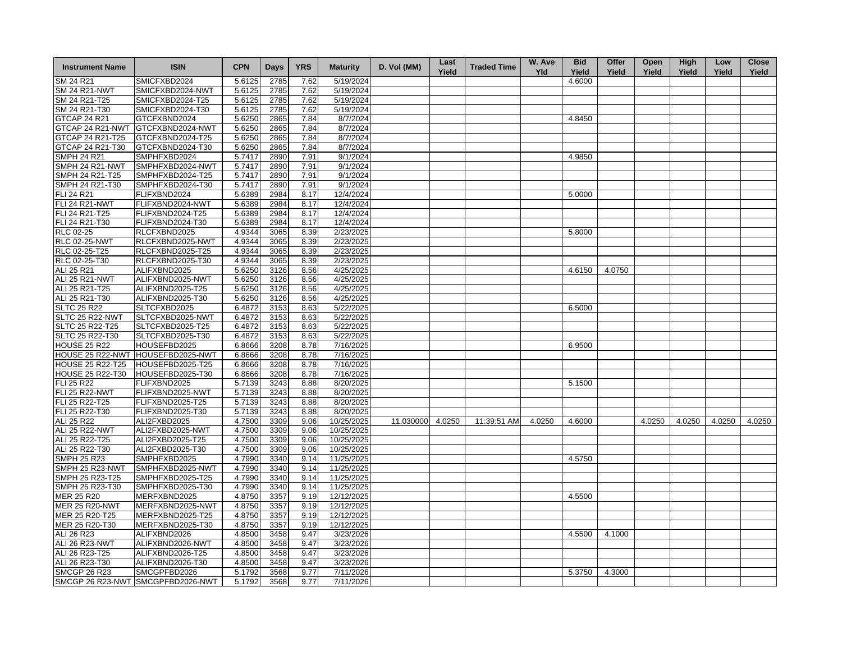| <b>Instrument Name</b>                  | <b>ISIN</b>                          | <b>CPN</b> | <b>Days</b>  | <b>YRS</b> | <b>Maturity</b>          | D. Vol (MM) | Last<br>Yield | <b>Traded Time</b> | W. Ave<br><b>Yld</b> | <b>Bid</b><br>Yield | Offer<br>Yield | Open<br>Yield | High<br>Yield | Low<br>Yield | <b>Close</b><br>Yield |
|-----------------------------------------|--------------------------------------|------------|--------------|------------|--------------------------|-------------|---------------|--------------------|----------------------|---------------------|----------------|---------------|---------------|--------------|-----------------------|
| SM 24 R21                               | SMICFXBD2024                         | 5.6125     | 2785         | 7.62       | 5/19/2024                |             |               |                    |                      | 4.6000              |                |               |               |              |                       |
| <b>SM 24 R21-NWT</b>                    | SMICFXBD2024-NWT                     | 5.6125     | 2785         | 7.62       | 5/19/2024                |             |               |                    |                      |                     |                |               |               |              |                       |
| SM 24 R21-T25                           | SMICFXBD2024-T25                     | 5.6125     | 2785         | 7.62       | 5/19/2024                |             |               |                    |                      |                     |                |               |               |              |                       |
| SM 24 R21-T30                           | SMICFXBD2024-T30                     | 5.6125     | 2785         | 7.62       | 5/19/2024                |             |               |                    |                      |                     |                |               |               |              |                       |
| GTCAP 24 R21                            | GTCFXBND2024                         | 5.6250     | 2865         | 7.84       | 8/7/2024                 |             |               |                    |                      | 4.8450              |                |               |               |              |                       |
| GTCAP 24 R21-NWT                        | GTCFXBND2024-NWT                     | 5.6250     | 2865         | 7.84       | 8/7/2024                 |             |               |                    |                      |                     |                |               |               |              |                       |
| GTCAP 24 R21-T25                        | GTCFXBND2024-T25                     | 5.6250     | 2865         | 7.84       | 8/7/2024                 |             |               |                    |                      |                     |                |               |               |              |                       |
| GTCAP 24 R21-T30                        | GTCFXBND2024-T30                     | 5.6250     | 2865         | 7.84       | 8/7/2024                 |             |               |                    |                      |                     |                |               |               |              |                       |
| <b>SMPH 24 R21</b>                      | SMPHFXBD2024                         | 5.7417     | 2890         | 7.91       | 9/1/2024                 |             |               |                    |                      | 4.9850              |                |               |               |              |                       |
| SMPH 24 R21-NWT                         | SMPHFXBD2024-NWT                     | 5.7417     | 2890         | 7.91       | 9/1/2024                 |             |               |                    |                      |                     |                |               |               |              |                       |
| SMPH 24 R21-T25                         | SMPHFXBD2024-T25                     | 5.7417     | 2890         | 7.91       | 9/1/2024                 |             |               |                    |                      |                     |                |               |               |              |                       |
| SMPH 24 R21-T30                         | SMPHFXBD2024-T30                     | 5.7417     | 2890         | 7.91       | 9/1/2024                 |             |               |                    |                      |                     |                |               |               |              |                       |
| FLI 24 R21                              | FLIFXBND2024                         | 5.6389     | 2984         | 8.17       | 12/4/2024                |             |               |                    |                      | 5.0000              |                |               |               |              |                       |
| <b>FLI 24 R21-NWT</b>                   | FLIFXBND2024-NWT                     | 5.6389     | 2984         | 8.17       | 12/4/2024                |             |               |                    |                      |                     |                |               |               |              |                       |
| FLI 24 R21-T25                          | FLIFXBND2024-T25                     | 5.6389     | 2984         | 8.17       | 12/4/2024                |             |               |                    |                      |                     |                |               |               |              |                       |
| FLI 24 R21-T30                          | FLIFXBND2024-T30                     | 5.6389     | 2984         | 8.17       | 12/4/2024                |             |               |                    |                      |                     |                |               |               |              |                       |
| RLC 02-25                               | RLCFXBND2025                         | 4.9344     | 3065         | 8.39       | 2/23/2025                |             |               |                    |                      | 5.8000              |                |               |               |              |                       |
| <b>RLC 02-25-NWT</b>                    | RLCFXBND2025-NWT                     | 4.9344     | 3065         | 8.39       | 2/23/2025                |             |               |                    |                      |                     |                |               |               |              |                       |
| RLC 02-25-T25                           | RLCFXBND2025-T25                     | 4.9344     | 3065         | 8.39       | 2/23/2025                |             |               |                    |                      |                     |                |               |               |              |                       |
| RLC 02-25-T30                           | RLCFXBND2025-T30                     | 4.9344     | 3065         | 8.39       | 2/23/2025                |             |               |                    |                      |                     |                |               |               |              |                       |
| ALI 25 R21                              | ALIFXBND2025                         | 5.6250     | 3126         | 8.56       | 4/25/2025                |             |               |                    |                      | 4.6150              | 4.0750         |               |               |              |                       |
| ALI 25 R21-NWT                          | ALIFXBND2025-NWT                     | 5.6250     | 3126         | 8.56       | 4/25/2025                |             |               |                    |                      |                     |                |               |               |              |                       |
| ALI 25 R21-T25                          | ALIFXBND2025-T25                     | 5.6250     | 3126         | 8.56       | 4/25/2025                |             |               |                    |                      |                     |                |               |               |              |                       |
| ALI 25 R21-T30                          | ALIFXBND2025-T30                     | 5.6250     | 3126         | 8.56       | 4/25/2025                |             |               |                    |                      |                     |                |               |               |              |                       |
| <b>SLTC 25 R22</b>                      | SLTCFXBD2025                         | 6.4872     | 3153         | 8.63       | 5/22/2025                |             |               |                    |                      | 6.5000              |                |               |               |              |                       |
| SLTC 25 R22-NWT                         | SLTCFXBD2025-NWT                     | 6.4872     | 3153         | 8.63       | 5/22/2025                |             |               |                    |                      |                     |                |               |               |              |                       |
| SLTC 25 R22-T25                         | SLTCFXBD2025-T25                     | 6.4872     | 3153         | 8.63       | 5/22/2025                |             |               |                    |                      |                     |                |               |               |              |                       |
| SLTC 25 R22-T30                         | SLTCFXBD2025-T30                     | 6.4872     | 3153         | 8.63       | 5/22/2025                |             |               |                    |                      |                     |                |               |               |              |                       |
| <b>HOUSE 25 R22</b>                     | HOUSEFBD2025                         | 6.8666     | 3208         | 8.78       | 7/16/2025                |             |               |                    |                      | 6.9500              |                |               |               |              |                       |
|                                         | HOUSE 25 R22-NWT HOUSEFBD2025-NWT    | 6.8666     | 3208         | 8.78       | 7/16/2025                |             |               |                    |                      |                     |                |               |               |              |                       |
| <b>HOUSE 25 R22-T25</b>                 | HOUSEFBD2025-T25                     | 6.8666     | 3208         | 8.78       | 7/16/2025                |             |               |                    |                      |                     |                |               |               |              |                       |
| <b>HOUSE 25 R22-T30</b>                 | HOUSEFBD2025-T30                     | 6.8666     | 3208         | 8.78       | 7/16/2025                |             |               |                    |                      |                     |                |               |               |              |                       |
| FLI 25 R22                              | FLIFXBND2025                         | 5.7139     | 3243         | 8.88       | 8/20/2025                |             |               |                    |                      | 5.1500              |                |               |               |              |                       |
| <b>FLI 25 R22-NWT</b>                   | FLIFXBND2025-NWT                     | 5.7139     | 3243         | 8.88       | 8/20/2025                |             |               |                    |                      |                     |                |               |               |              |                       |
| FLI 25 R22-T25                          | FLIFXBND2025-T25                     | 5.7139     | 3243         | 8.88       | $\sqrt{8}/20/2025$       |             |               |                    |                      |                     |                |               |               |              |                       |
| FLI 25 R22-T30                          | FLIFXBND2025-T30                     | 5.7139     | 3243         | 8.88       | 8/20/2025                |             |               |                    |                      |                     |                |               |               |              |                       |
| ALI 25 R22                              | ALI2FXBD2025                         | 4.7500     | 3309         | 9.06       | 10/25/2025               | 11.030000   | 4.0250        | 11:39:51 AM        | 4.0250               | 4.6000              |                | 4.0250        | 4.0250        | 4.0250       | 4.0250                |
| <b>ALI 25 R22-NWT</b>                   | ALI2FXBD2025-NWT                     | 4.7500     | 3309         | 9.06       | 10/25/2025               |             |               |                    |                      |                     |                |               |               |              |                       |
| ALI 25 R22-T25                          | ALI2FXBD2025-T25                     | 4.7500     | 3309         | 9.06       | 10/25/2025               |             |               |                    |                      |                     |                |               |               |              |                       |
| ALI 25 R22-T30                          | ALI2FXBD2025-T30                     | 4.7500     | 3309         | 9.06       | 10/25/2025               |             |               |                    |                      |                     |                |               |               |              |                       |
| <b>SMPH 25 R23</b>                      | SMPHFXBD2025                         | 4.7990     | 3340         | 9.14       | 11/25/2025               |             |               |                    |                      | 4.5750              |                |               |               |              |                       |
| SMPH 25 R23-NWT                         | SMPHFXBD2025-NWT                     | 4.7990     | 3340         | 9.14       | 11/25/2025               |             |               |                    |                      |                     |                |               |               |              |                       |
| SMPH 25 R23-T25                         | SMPHFXBD2025-T25                     | 4.7990     | 3340         | 9.14       | 11/25/2025               |             |               |                    |                      |                     |                |               |               |              |                       |
| SMPH 25 R23-T30                         | SMPHFXBD2025-T30                     | 4.7990     | 3340         | 9.14       | 11/25/2025               |             |               |                    |                      |                     |                |               |               |              |                       |
|                                         |                                      | 4.8750     |              | 9.19       |                          |             |               |                    |                      | 4.5500              |                |               |               |              |                       |
| <b>MER 25 R20</b>                       | MERFXBND2025                         | 4.8750     | 3357<br>3357 | 9.19       | 12/12/2025<br>12/12/2025 |             |               |                    |                      |                     |                |               |               |              |                       |
| <b>MER 25 R20-NWT</b><br>MER 25 R20-T25 | MERFXBND2025-NWT<br>MERFXBND2025-T25 | 4.8750     |              |            | 12/12/2025               |             |               |                    |                      |                     |                |               |               |              |                       |
|                                         |                                      |            | 3357         | 9.19       |                          |             |               |                    |                      |                     |                |               |               |              |                       |
| MER 25 R20-T30                          | MERFXBND2025-T30                     | 4.8750     | 3357         | 9.19       | 12/12/2025               |             |               |                    |                      | 4.5500              |                |               |               |              |                       |
| ALI 26 R23                              | ALIFXBND2026                         | 4.8500     | 3458         | 9.47       | 3/23/2026                |             |               |                    |                      |                     | 4.1000         |               |               |              |                       |
| ALI 26 R23-NWT                          | ALIFXBND2026-NWT                     | 4.8500     | 3458         | 9.47       | 3/23/2026                |             |               |                    |                      |                     |                |               |               |              |                       |
| ALI 26 R23-T25                          | ALIFXBND2026-T25                     | 4.8500     | 3458         | 9.47       | 3/23/2026                |             |               |                    |                      |                     |                |               |               |              |                       |
| ALI 26 R23-T30                          | ALIFXBND2026-T30                     | 4.8500     | 3458         | 9.47       | 3/23/2026                |             |               |                    |                      |                     |                |               |               |              |                       |
| <b>SMCGP 26 R23</b>                     | SMCGPFBD2026                         | 5.1792     | 3568         | 9.77       | 7/11/2026                |             |               |                    |                      | 5.3750              | 4.3000         |               |               |              |                       |
|                                         | SMCGP 26 R23-NWT SMCGPFBD2026-NWT    | 5.1792     | 3568         | 9.77       | 7/11/2026                |             |               |                    |                      |                     |                |               |               |              |                       |